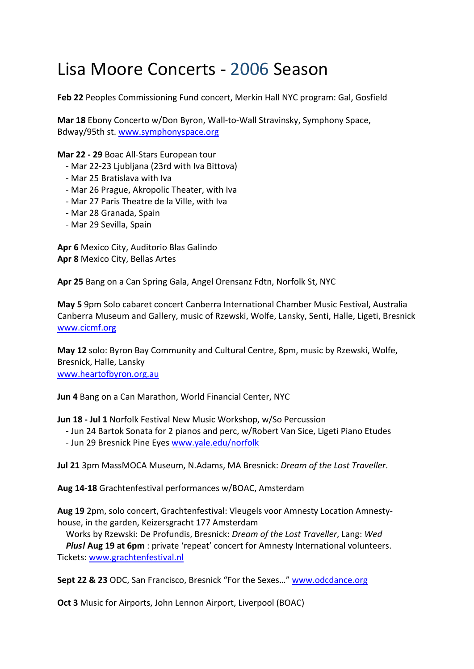## Lisa Moore Concerts ‐ 2006 Season

**Feb 22** Peoples Commissioning Fund concert, Merkin Hall NYC program: Gal, Gosfield

**Mar 18** Ebony Concerto w/Don Byron, Wall‐to‐Wall Stravinsky, Symphony Space, Bdway/95th st. www.symphonyspace.org

**Mar 22 ‐ 29** Boac All‐Stars European tour

- ‐ Mar 22‐23 Ljubljana (23rd with Iva Bittova)
- ‐ Mar 25 Bratislava with Iva
- ‐ Mar 26 Prague, Akropolic Theater, with Iva
- ‐ Mar 27 Paris Theatre de la Ville, with Iva
- ‐ Mar 28 Granada, Spain
- ‐ Mar 29 Sevilla, Spain

**Apr 6** Mexico City, Auditorio Blas Galindo **Apr 8** Mexico City, Bellas Artes

**Apr 25** Bang on a Can Spring Gala, Angel Orensanz Fdtn, Norfolk St, NYC

**May 5** 9pm Solo cabaret concert Canberra International Chamber Music Festival, Australia Canberra Museum and Gallery, music of Rzewski, Wolfe, Lansky, Senti, Halle, Ligeti, Bresnick www.cicmf.org

**May 12** solo: Byron Bay Community and Cultural Centre, 8pm, music by Rzewski, Wolfe, Bresnick, Halle, Lansky www.heartofbyron.org.au

**Jun 4** Bang on a Can Marathon, World Financial Center, NYC

**Jun 18 ‐ Jul 1** Norfolk Festival New Music Workshop, w/So Percussion

- ‐ Jun 24 Bartok Sonata for 2 pianos and perc, w/Robert Van Sice, Ligeti Piano Etudes
- ‐ Jun 29 Bresnick Pine Eyes www.yale.edu/norfolk

**Jul 21** 3pm MassMOCA Museum, N.Adams, MA Bresnick: *Dream of the Lost Traveller*.

**Aug 14‐18** Grachtenfestival performances w/BOAC, Amsterdam

**Aug 19** 2pm, solo concert, Grachtenfestival: Vleugels voor Amnesty Location Amnesty‐ house, in the garden, Keizersgracht 177 Amsterdam

 Works by Rzewski: De Profundis, Bresnick: *Dream of the Lost Traveller*, Lang: *Wed Plus!* **Aug 19 at 6pm** : private 'repeat' concert for Amnesty International volunteers.

Tickets: www.grachtenfestival.nl

**Sept 22 & 23** ODC, San Francisco, Bresnick "For the Sexes…" www.odcdance.org

**Oct 3** Music for Airports, John Lennon Airport, Liverpool (BOAC)